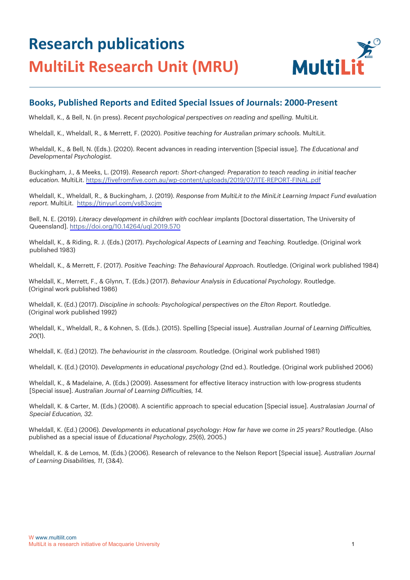## **Research publications MultiLit Research Unit (MRU)**



## **Books, Published Reports and Edited Special Issues of Journals: 2000-Present**

Wheldall, K., & Bell, N. (in press). *Recent psychological perspectives on reading and spelling.* MultiLit.

Wheldall, K., Wheldall, R., & Merrett, F. (2020). *Positive teaching for Australian primary schools.* MultiLit.

Wheldall, K., & Bell, N. (Eds.). (2020). Recent advances in reading intervention [Special issue]. *The Educational and Developmental Psychologist.*

Buckingham, J., & Meeks, L. (2019). *Research report: Short-changed: Preparation to teach reading in initial teacher education.* MultiLit. <https://fivefromfive.com.au/wp-content/uploads/2019/07/ITE-REPORT-FINAL.pdf>

Wheldall, K., Wheldall, R., & Buckingham, J. (2019). *Response from MultiLit to the MiniLit Learning Impact Fund evaluation report.* MultiLit. <https://tinyurl.com/vs83xcjm>

Bell, N. E. (2019). *Literacy development in children with cochlear implants* [Doctoral dissertation, The University of Queensland]. <https://doi.org/10.14264/uql.2019.570>

Wheldall, K., & Riding, R. J. (Eds.) (2017). *Psychological Aspects of Learning and Teaching.* Routledge. (Original work published 1983)

Wheldall, K., & Merrett, F. (2017). *Positive Teaching: The Behavioural Approach.* Routledge. (Original work published 1984)

Wheldall, K., Merrett, F., & Glynn, T. (Eds.) (2017). *Behaviour Analysis in Educational Psychology.* Routledge. (Original work published 1986)

Wheldall, K. (Ed.) (2017). *Discipline in schools: Psychological perspectives on the Elton Report.* Routledge. (Original work published 1992)

Wheldall, K., Wheldall, R., & Kohnen, S. (Eds.). (2015). Spelling [Special issue]. *Australian Journal of Learning Difficulties, 20*(1).

Wheldall, K. (Ed.) (2012). *The behaviourist in the classroom.* Routledge. (Original work published 1981)

Wheldall, K. (Ed.) (2010). *Developments in educational psychology* (2nd ed.). Routledge. (Original work published 2006)

Wheldall, K., & Madelaine, A. (Eds.) (2009). Assessment for effective literacy instruction with low-progress students [Special issue]. *Australian Journal of Learning Difficulties, 14.*

Wheldall, K. & Carter, M. (Eds.) (2008). A scientific approach to special education [Special issue]. *Australasian Journal of Special Education, 32.*

Wheldall, K. (Ed.) (2006). *Developments in educational psychology: How far have we come in 25 years?* Routledge. (Also published as a special issue of *Educational Psychology, 25*(6), 2005.)

Wheldall, K. & de Lemos, M. (Eds.) (2006). Research of relevance to the Nelson Report [Special issue]. *Australian Journal of Learning Disabilities, 11*, (3&4).